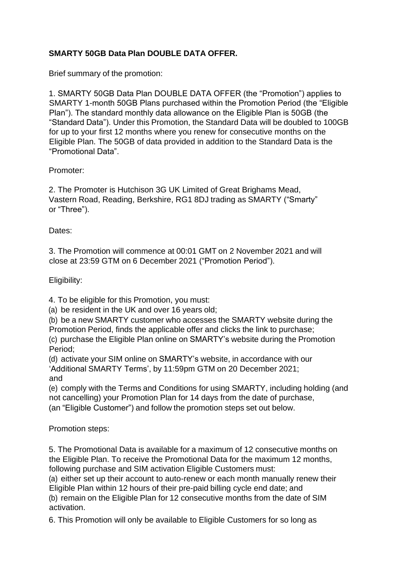## **SMARTY 50GB Data Plan DOUBLE DATA OFFER.**

Brief summary of the promotion:

1. SMARTY 50GB Data Plan DOUBLE DATA OFFER (the "Promotion") applies to SMARTY 1-month 50GB Plans purchased within the Promotion Period (the "Eligible Plan"). The standard monthly data allowance on the Eligible Plan is 50GB (the "Standard Data"). Under this Promotion, the Standard Data will be doubled to 100GB for up to your first 12 months where you renew for consecutive months on the Eligible Plan. The 50GB of data provided in addition to the Standard Data is the "Promotional Data".

## Promoter:

2. The Promoter is Hutchison 3G UK Limited of Great Brighams Mead, Vastern Road, Reading, Berkshire, RG1 8DJ trading as SMARTY ("Smarty" or "Three").

## Dates:

3. The Promotion will commence at 00:01 GMT on 2 November 2021 and will close at 23:59 GTM on 6 December 2021 ("Promotion Period").

Eligibility:

4. To be eligible for this Promotion, you must:

(a) be resident in the UK and over 16 years old;

(b) be a new SMARTY customer who accesses the SMARTY website during the Promotion Period, finds the applicable offer and clicks the link to purchase;

(c) purchase the Eligible Plan online on SMARTY's website during the Promotion Period;

(d) activate your SIM online on SMARTY's website, in accordance with our 'Additional SMARTY Terms', by 11:59pm GTM on 20 December 2021; and

(e) comply with the Terms and Conditions for using SMARTY, including holding (and not cancelling) your Promotion Plan for 14 days from the date of purchase, (an "Eligible Customer") and follow the promotion steps set out below.

Promotion steps:

5. The Promotional Data is available for a maximum of 12 consecutive months on the Eligible Plan. To receive the Promotional Data for the maximum 12 months, following purchase and SIM activation Eligible Customers must:

(a) either set up their account to auto-renew or each month manually renew their Eligible Plan within 12 hours of their pre-paid billing cycle end date; and

(b) remain on the Eligible Plan for 12 consecutive months from the date of SIM activation.

6. This Promotion will only be available to Eligible Customers for so long as